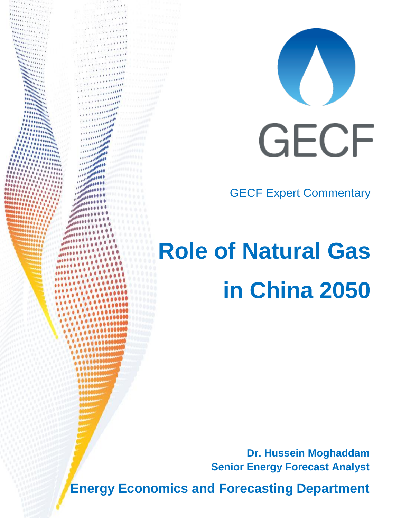

GECF Expert Commentary

# **Role of Natural Gas in China 2050**

**Dr. Hussein Moghaddam Senior Energy Forecast Analyst**

**Energy Economics and Forecasting Department**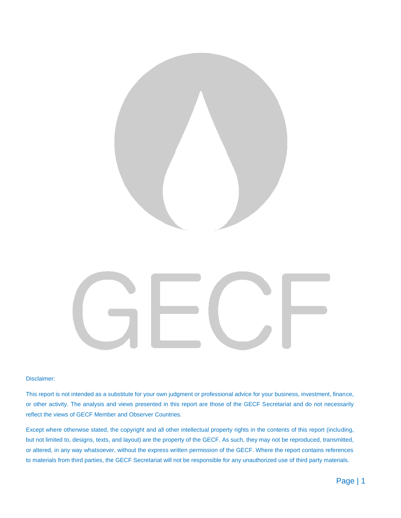

#### Disclaimer:

This report is not intended as a substitute for your own judgment or professional advice for your business, investment, finance, or other activity. The analysis and views presented in this report are those of the GECF Secretariat and do not necessarily reflect the views of GECF Member and Observer Countries.

Except where otherwise stated, the copyright and all other intellectual property rights in the contents of this report (including, but not limited to, designs, texts, and layout) are the property of the GECF. As such, they may not be reproduced, transmitted, or altered, in any way whatsoever, without the express written permission of the GECF. Where the report contains references to materials from third parties, the GECF Secretariat will not be responsible for any unauthorized use of third party materials.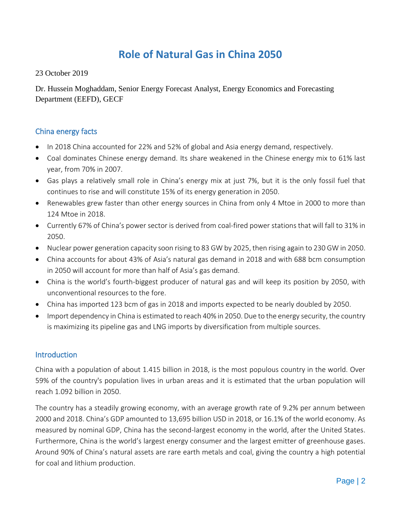# **Role of Natural Gas in China 2050**

23 October 2019

Dr. Hussein Moghaddam, Senior Energy Forecast Analyst, Energy Economics and Forecasting Department (EEFD), GECF

# China energy facts

- In 2018 China accounted for 22% and 52% of global and Asia energy demand, respectively.
- Coal dominates Chinese energy demand. Its share weakened in the Chinese energy mix to 61% last year, from 70% in 2007.
- Gas plays a relatively small role in China's energy mix at just 7%, but it is the only fossil fuel that continues to rise and will constitute 15% of its energy generation in 2050.
- Renewables grew faster than other energy sources in China from only 4 Mtoe in 2000 to more than 124 Mtoe in 2018.
- Currently 67% of China's power sector is derived from coal-fired power stations that will fall to 31% in 2050.
- Nuclear power generation capacity soon rising to 83 GW by 2025, then rising again to 230 GW in 2050.
- China accounts for about 43% of Asia's natural gas demand in 2018 and with 688 bcm consumption in 2050 will account for more than half of Asia's gas demand.
- China is the world's fourth-biggest producer of natural gas and will keep its position by 2050, with unconventional resources to the fore.
- China has imported 123 bcm of gas in 2018 and imports expected to be nearly doubled by 2050.
- Import dependency in China is estimated to reach 40% in 2050. Due to the energy security, the country is maximizing its pipeline gas and LNG imports by diversification from multiple sources.

#### **Introduction**

China with a population of about 1.415 billion in 2018, is the most populous country in the world. Over 59% of the country's population lives in urban areas and it is estimated that the urban population will reach 1.092 billion in 2050.

The country has a steadily growing economy, with an average growth rate of 9.2% per annum between 2000 and 2018. China's GDP amounted to 13,695 billion USD in 2018, or 16.1% of the world economy. As measured by nominal GDP, China has the second-largest economy in the world, after the United States. Furthermore, China is the world's largest energy consumer and the largest emitter of greenhouse gases. Around 90% of China's natural assets are rare earth metals and coal, giving the country a high potential for coal and lithium production.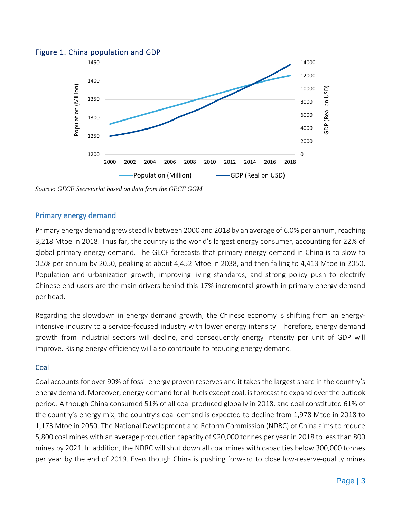#### Figure 1. China population and GDP



*Source: GECF Secretariat based on data from the GECF GGM*

#### Primary energy demand

Primary energy demand grew steadily between 2000 and 2018 by an average of 6.0% per annum, reaching 3,218 Mtoe in 2018. Thus far, the country is the world's largest energy consumer, accounting for 22% of global primary energy demand. The GECF forecasts that primary energy demand in China is to slow to 0.5% per annum by 2050, peaking at about 4,452 Mtoe in 2038, and then falling to 4,413 Mtoe in 2050. Population and urbanization growth, improving living standards, and strong policy push to electrify Chinese end-users are the main drivers behind this 17% incremental growth in primary energy demand per head.

Regarding the slowdown in energy demand growth, the Chinese economy is shifting from an energyintensive industry to a service-focused industry with lower energy intensity. Therefore, energy demand growth from industrial sectors will decline, and consequently energy intensity per unit of GDP will improve. Rising energy efficiency will also contribute to reducing energy demand.

#### **Coal**

Coal accounts for over 90% of fossil energy proven reserves and it takes the largest share in the country's energy demand. Moreover, energy demand for all fuels except coal, is forecast to expand over the outlook period. Although China consumed 51% of all coal produced globally in 2018, and coal constituted 61% of the country's energy mix, the country's coal demand is expected to decline from 1,978 Mtoe in 2018 to 1,173 Mtoe in 2050. The National Development and Reform Commission (NDRC) of China aims to reduce 5,800 coal mines with an average production capacity of 920,000 tonnes per year in 2018 to less than 800 mines by 2021. In addition, the NDRC will shut down all coal mines with capacities below 300,000 tonnes per year by the end of 2019. Even though China is pushing forward to close low-reserve-quality mines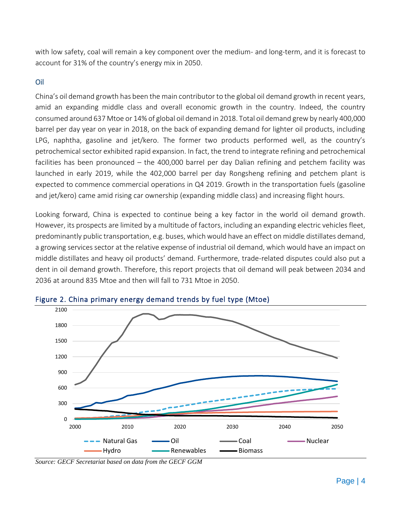with low safety, coal will remain a key component over the medium- and long-term, and it is forecast to account for 31% of the country's energy mix in 2050.

#### Oil

China's oil demand growth has been the main contributor to the global oil demand growth in recent years, amid an expanding middle class and overall economic growth in the country. Indeed, the country consumed around 637 Mtoe or 14% of global oil demand in 2018. Total oil demand grew by nearly 400,000 barrel per day year on year in 2018, on the back of expanding demand for lighter oil products, including LPG, naphtha, gasoline and jet/kero. The former two products performed well, as the country's petrochemical sector exhibited rapid expansion. In fact, the trend to integrate refining and petrochemical facilities has been pronounced – the 400,000 barrel per day Dalian refining and petchem facility was launched in early 2019, while the 402,000 barrel per day Rongsheng refining and petchem plant is expected to commence commercial operations in Q4 2019. Growth in the transportation fuels (gasoline and jet/kero) came amid rising car ownership (expanding middle class) and increasing flight hours.

Looking forward, China is expected to continue being a key factor in the world oil demand growth. However, its prospects are limited by a multitude of factors, including an expanding electric vehicles fleet, predominantly public transportation, e.g. buses, which would have an effect on middle distillates demand, a growing services sector at the relative expense of industrial oil demand, which would have an impact on middle distillates and heavy oil products' demand. Furthermore, trade-related disputes could also put a dent in oil demand growth. Therefore, this report projects that oil demand will peak between 2034 and 2036 at around 835 Mtoe and then will fall to 731 Mtoe in 2050.





*Source: GECF Secretariat based on data from the GECF GGM*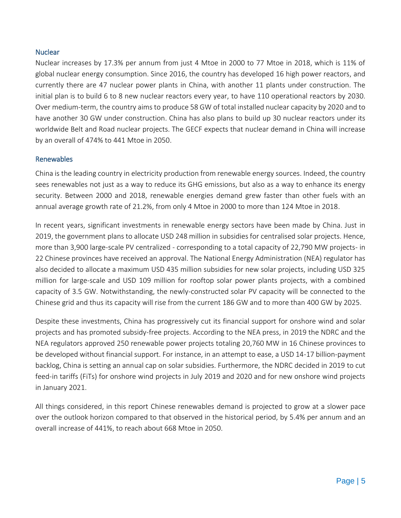#### **Nuclear**

Nuclear increases by 17.3% per annum from just 4 Mtoe in 2000 to 77 Mtoe in 2018, which is 11% of global nuclear energy consumption. Since 2016, the country has developed 16 high power reactors, and currently there are 47 nuclear power plants in China, with another 11 plants under construction. The initial plan is to build 6 to 8 new nuclear reactors every year, to have 110 operational reactors by 2030. Over medium-term, the country aims to produce 58 GW of total installed nuclear capacity by 2020 and to have another 30 GW under construction. China has also plans to build up 30 nuclear reactors under its worldwide Belt and Road nuclear projects. The GECF expects that nuclear demand in China will increase by an overall of 474% to 441 Mtoe in 2050.

#### Renewables

China is the leading country in electricity production from renewable energy sources. Indeed, the country sees renewables not just as a way to reduce its GHG emissions, but also as a way to enhance its energy security. Between 2000 and 2018, renewable energies demand grew faster than other fuels with an annual average growth rate of 21.2%, from only 4 Mtoe in 2000 to more than 124 Mtoe in 2018.

In recent years, significant investments in renewable energy sectors have been made by China. Just in 2019, the government plans to allocate USD 248 million in subsidies for centralised solar projects. Hence, more than 3,900 large-scale PV centralized - corresponding to a total capacity of 22,790 MW projects- in 22 Chinese provinces have received an approval. The National Energy Administration (NEA) regulator has also decided to allocate a maximum USD 435 million subsidies for new solar projects, including USD 325 million for large-scale and USD 109 million for rooftop solar power plants projects, with a combined capacity of 3.5 GW. Notwithstanding, the newly-constructed solar PV capacity will be connected to the Chinese grid and thus its capacity will rise from the current 186 GW and to more than 400 GW by 2025.

Despite these investments, China has progressively cut its financial support for onshore wind and solar projects and has promoted subsidy-free projects. According to the NEA press, in 2019 the NDRC and the NEA regulators approved 250 renewable power projects totaling 20,760 MW in 16 Chinese provinces to be developed without financial support. For instance, in an attempt to ease, a USD 14-17 billion-payment backlog, China is setting an annual cap on solar subsidies. Furthermore, the NDRC decided in 2019 to cut feed-in tariffs (FiTs) for onshore wind projects in July 2019 and 2020 and for new onshore wind projects in January 2021.

All things considered, in this report Chinese renewables demand is projected to grow at a slower pace over the outlook horizon compared to that observed in the historical period, by 5.4% per annum and an overall increase of 441%, to reach about 668 Mtoe in 2050.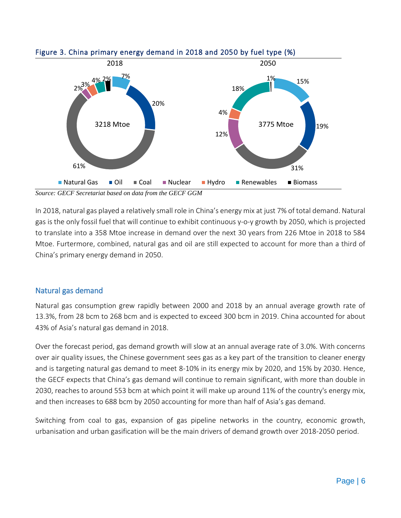

Figure 3. China primary energy demand in 2018 and 2050 by fuel type (%)

*Source: GECF Secretariat based on data from the GECF GGM*

In 2018, natural gas played a relatively small role in China's energy mix at just 7% of total demand. Natural gas is the only fossil fuel that will continue to exhibit continuous y-o-y growth by 2050, which is projected to translate into a 358 Mtoe increase in demand over the next 30 years from 226 Mtoe in 2018 to 584 Mtoe. Furtermore, combined, natural gas and oil are still expected to account for more than a third of China's primary energy demand in 2050.

#### Natural gas demand

Natural gas consumption grew rapidly between 2000 and 2018 by an annual average growth rate of 13.3%, from 28 bcm to 268 bcm and is expected to exceed 300 bcm in 2019. China accounted for about 43% of Asia's natural gas demand in 2018.

Over the forecast period, gas demand growth will slow at an annual average rate of 3.0%. With concerns over air quality issues, the Chinese government sees gas as a key part of the transition to cleaner energy and is targeting natural gas demand to meet 8-10% in its energy mix by 2020, and 15% by 2030. Hence, the GECF expects that China's gas demand will continue to remain significant, with more than double in 2030, reaches to around 553 bcm at which point it will make up around 11% of the country's energy mix, and then increases to 688 bcm by 2050 accounting for more than half of Asia's gas demand.

Switching from coal to gas, expansion of gas pipeline networks in the country, economic growth, urbanisation and urban gasification will be the main drivers of demand growth over 2018-2050 period.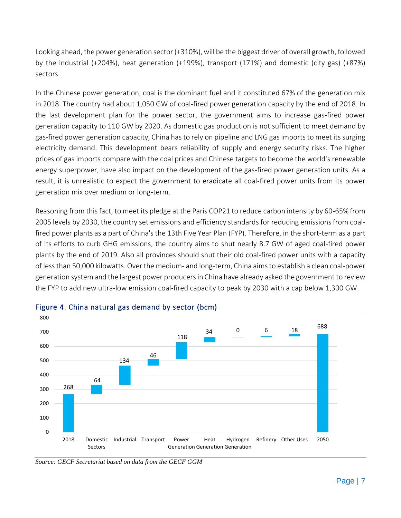Looking ahead, the power generation sector (+310%), will be the biggest driver of overall growth, followed by the industrial (+204%), heat generation (+199%), transport (171%) and domestic (city gas) (+87%) sectors.

In the Chinese power generation, coal is the dominant fuel and it constituted 67% of the generation mix in 2018. The country had about 1,050 GW of coal-fired power generation capacity by the end of 2018. In the last development plan for the power sector, the government aims to increase gas-fired power generation capacity to 110 GW by 2020. As domestic gas production is not sufficient to meet demand by gas-fired power generation capacity, China has to rely on pipeline and LNG gas imports to meet its surging electricity demand. This development bears reliability of supply and energy security risks. The higher prices of gas imports compare with the coal prices and Chinese targets to become the world's renewable energy superpower, have also impact on the development of the gas-fired power generation units. As a result, it is unrealistic to expect the government to eradicate all coal-fired power units from its power generation mix over medium or long-term.

Reasoning from this fact, to meet its pledge at the Paris COP21 to reduce carbon intensity by 60-65% from 2005 levels by 2030, the country set emissions and efficiency standards for reducing emissions from coalfired power plants as a part of China's the 13th Five Year Plan (FYP). Therefore, in the short-term as a part of its efforts to curb GHG emissions, the country aims to shut nearly 8.7 GW of aged coal-fired power plants by the end of 2019. Also all provinces should shut their old coal-fired power units with a capacity of less than 50,000 kilowatts. Over the medium- and long-term, China aims to establish a clean coal-power generation system and the largest power producers in China have already asked the government to review the FYP to add new ultra-low emission coal-fired capacity to peak by 2030 with a cap below 1,300 GW.



#### Figure 4. China natural gas demand by sector (bcm)

*Source: GECF Secretariat based on data from the GECF GGM*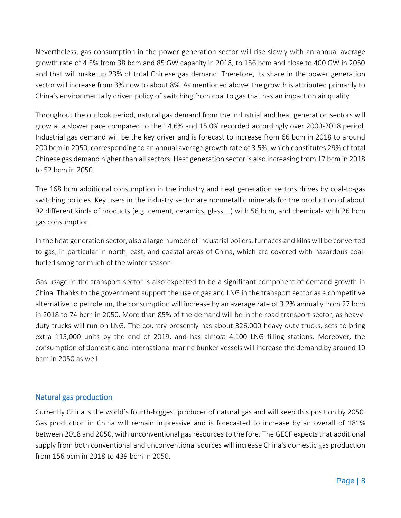Nevertheless, gas consumption in the power generation sector will rise slowly with an annual average growth rate of 4.5% from 38 bcm and 85 GW capacity in 2018, to 156 bcm and close to 400 GW in 2050 and that will make up 23% of total Chinese gas demand. Therefore, its share in the power generation sector will increase from 3% now to about 8%. As mentioned above, the growth is attributed primarily to China's environmentally driven policy of switching from coal to gas that has an impact on air quality.

Throughout the outlook period, natural gas demand from the industrial and heat generation sectors will grow at a slower pace compared to the 14.6% and 15.0% recorded accordingly over 2000-2018 period. Industrial gas demand will be the key driver and is forecast to increase from 66 bcm in 2018 to around 200 bcm in 2050, corresponding to an annual average growth rate of 3.5%, which constitutes 29% of total Chinese gas demand higher than all sectors. Heat generation sector is also increasing from 17 bcm in 2018 to 52 bcm in 2050.

The 168 bcm additional consumption in the industry and heat generation sectors drives by coal-to-gas switching policies. Key users in the industry sector are nonmetallic minerals for the production of about 92 different kinds of products (e.g. cement, ceramics, glass,…) with 56 bcm, and chemicals with 26 bcm gas consumption.

In the heat generation sector, also a large number of industrial boilers, furnaces and kilns will be converted to gas, in particular in north, east, and coastal areas of China, which are covered with hazardous coalfueled smog for much of the winter season.

Gas usage in the transport sector is also expected to be a significant component of demand growth in China. Thanks to the government support the use of gas and LNG in the transport sector as a competitive alternative to petroleum, the consumption will increase by an average rate of 3.2% annually from 27 bcm in 2018 to 74 bcm in 2050. More than 85% of the demand will be in the road transport sector, as heavyduty trucks will run on LNG. The country presently has about 326,000 heavy-duty trucks, sets to bring extra 115,000 units by the end of 2019, and has almost 4,100 LNG filling stations. Moreover, the consumption of domestic and international marine bunker vessels will increase the demand by around 10 bcm in 2050 as well.

#### Natural gas production

Currently China is the world's fourth-biggest producer of natural gas and will keep this position by 2050. Gas production in China will remain impressive and is forecasted to increase by an overall of 181% between 2018 and 2050, with unconventional gas resources to the fore. The GECF expects that additional supply from both conventional and unconventional sources will increase China's domestic gas production from 156 bcm in 2018 to 439 bcm in 2050.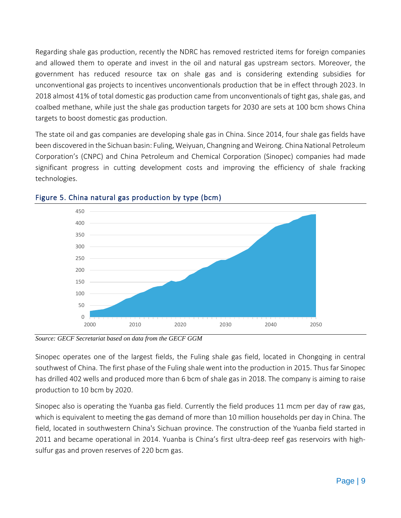Regarding shale gas production, recently the NDRC has removed restricted items for foreign companies and allowed them to operate and invest in the oil and natural gas upstream sectors. Moreover, the government has reduced resource tax on shale gas and is considering extending subsidies for unconventional gas projects to incentives unconventionals production that be in effect through 2023. In 2018 almost 41% of total domestic gas production came from unconventionals of tight gas, shale gas, and coalbed methane, while just the shale gas production targets for 2030 are sets at 100 bcm shows China targets to boost domestic gas production.

The state oil and gas companies are developing shale gas in China. Since 2014, four shale gas fields have been discovered in the Sichuan basin: Fuling, Weiyuan, Changning and Weirong. China National Petroleum Corporation's (CNPC) and China Petroleum and Chemical Corporation (Sinopec) companies had made significant progress in cutting development costs and improving the efficiency of shale fracking technologies.



# Figure 5. China natural gas production by type (bcm)

*Source: GECF Secretariat based on data from the GECF GGM*

Sinopec operates one of the largest fields, the Fuling shale gas field, located in Chongqing in central southwest of China. The first phase of the Fuling shale went into the production in 2015. Thus far Sinopec has drilled 402 wells and produced more than 6 bcm of shale gas in 2018. The company is aiming to raise production to 10 bcm by 2020.

Sinopec also is operating the Yuanba gas field. Currently the field produces 11 mcm per day of raw gas, which is equivalent to meeting the gas demand of more than 10 million households per day in China. The field, located in southwestern China's Sichuan province. The construction of the Yuanba field started in 2011 and became operational in 2014. Yuanba is China's first ultra-deep reef gas reservoirs with highsulfur gas and proven reserves of 220 bcm gas.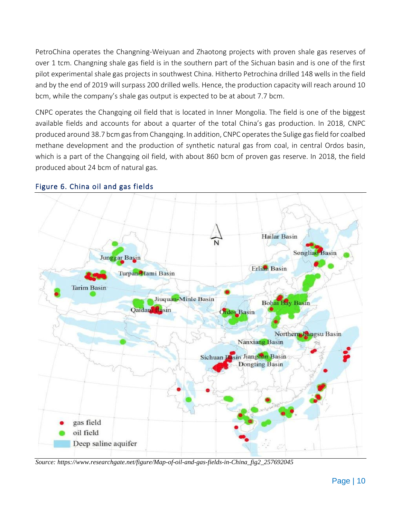PetroChina operates the Changning-Weiyuan and Zhaotong projects with proven shale gas reserves of over 1 tcm. Changning shale gas field is in the southern part of the Sichuan basin and is one of the first pilot experimental shale gas projects in southwest China. Hitherto Petrochina drilled 148 wells in the field and by the end of 2019 will surpass 200 drilled wells. Hence, the production capacity will reach around 10 bcm, while the company's shale gas output is expected to be at about 7.7 bcm.

CNPC operates the Changqing oil field that is located in Inner Mongolia. The field is one of the biggest available fields and accounts for about a quarter of the total China's gas production. In 2018, CNPC produced around 38.7 bcm gas from Changqing. In addition, CNPC operates the Sulige gas field for coalbed methane development and the production of synthetic natural gas from coal, in central Ordos basin, which is a part of the Changqing oil field, with about 860 bcm of proven gas reserve. In 2018, the field produced about 24 bcm of natural gas*.*



#### Figure 6. China oil and gas fields

*Source[: https://www.researchgate.net/figure/Map-of-oil-and-gas-fields-in-China\\_fig2\\_257692045](https://www.researchgate.net/figure/Map-of-oil-and-gas-fields-in-China_fig2_257692045)*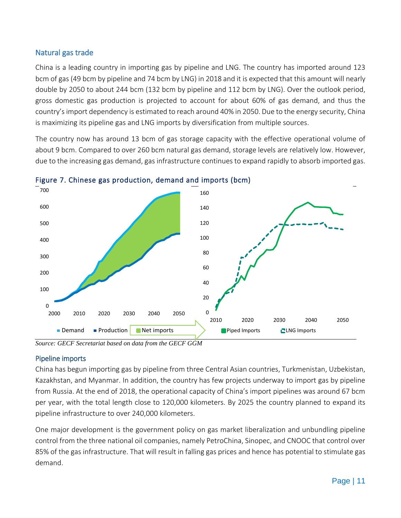# Natural gas trade

China is a leading country in importing gas by pipeline and LNG. The country has imported around 123 bcm of gas (49 bcm by pipeline and 74 bcm by LNG) in 2018 and it is expected that this amount will nearly double by 2050 to about 244 bcm (132 bcm by pipeline and 112 bcm by LNG). Over the outlook period, gross domestic gas production is projected to account for about 60% of gas demand, and thus the country's import dependency is estimated to reach around 40% in 2050. Due to the energy security, China is maximizing its pipeline gas and LNG imports by diversification from multiple sources.

The country now has around 13 bcm of gas storage capacity with the effective operational volume of about 9 bcm. Compared to over 260 bcm natural gas demand, storage levels are relatively low. However, due to the increasing gas demand, gas infrastructure continues to expand rapidly to absorb imported gas.



Figure 7. Chinese gas production, demand and imports (bcm)

# Pipeline imports

China has begun importing gas by pipeline from three Central Asian countries, Turkmenistan, Uzbekistan, Kazakhstan, and Myanmar. In addition, the country has few projects underway to import gas by pipeline from Russia. At the end of 2018, the operational capacity of China's import pipelines was around 67 bcm per year, with the total length close to 120,000 kilometers. By 2025 the country planned to expand its pipeline infrastructure to over 240,000 kilometers.

One major development is the government policy on gas market liberalization and unbundling pipeline control from the three national oil companies, namely PetroChina, Sinopec, and CNOOC that control over 85% of the gas infrastructure. That will result in falling gas prices and hence has potential to stimulate gas demand.

*Source: GECF Secretariat based on data from the GECF GGM*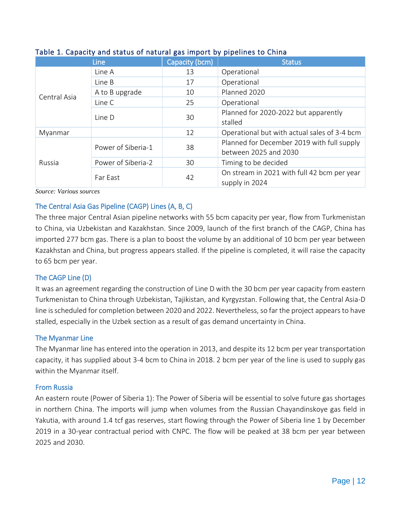|              | <b>Line</b>        | Capacity (bcm) | <b>Status</b>                                                       |
|--------------|--------------------|----------------|---------------------------------------------------------------------|
| Central Asia | Line A             | 13             | Operational                                                         |
|              | Line B             | 17             | Operational                                                         |
|              | A to B upgrade     | 10             | Planned 2020                                                        |
|              | Line C             | 25             | Operational                                                         |
|              | Line D             | 30             | Planned for 2020-2022 but apparently<br>stalled                     |
| Myanmar      |                    | 12             | Operational but with actual sales of 3-4 bcm                        |
| Russia       | Power of Siberia-1 | 38             | Planned for December 2019 with full supply<br>between 2025 and 2030 |
|              | Power of Siberia-2 | 30             | Timing to be decided                                                |
|              | Far East           | 42             | On stream in 2021 with full 42 bcm per year<br>supply in 2024       |

#### Table 1. Capacity and status of natural gas import by pipelines to China

*Source: Various sources*

#### The Central Asia Gas Pipeline (CAGP) Lines (A, B, C)

The three major Central Asian pipeline networks with 55 bcm capacity per year, flow from Turkmenistan to China, via Uzbekistan and Kazakhstan. Since 2009, launch of the first branch of the CAGP, China has imported 277 bcm gas. There is a plan to boost the volume by an additional of 10 bcm per year between Kazakhstan and China, but progress appears stalled. If the pipeline is completed, it will raise the capacity to 65 bcm per year.

#### The CAGP Line (D)

It was an agreement regarding the construction of Line D with the 30 bcm per year capacity from eastern Turkmenistan to China through Uzbekistan, Tajikistan, and Kyrgyzstan. Following that, the Central Asia-D line is scheduled for completion between 2020 and 2022. Nevertheless, so far the project appears to have stalled, especially in the Uzbek section as a result of gas demand uncertainty in China.

#### The Myanmar Line

The Myanmar line has entered into the operation in 2013, and despite its 12 bcm per year transportation capacity, it has supplied about 3-4 bcm to China in 2018. 2 bcm per year of the line is used to supply gas within the Myanmar itself.

#### From Russia

An eastern route (Power of Siberia 1): The Power of Siberia will be essential to solve future gas shortages in northern China. The imports will jump when volumes from the Russian Chayandinskoye gas field in Yakutia, with around 1.4 tcf gas reserves, start flowing through the Power of Siberia line 1 by December 2019 in a 30-year contractual period with CNPC. The flow will be peaked at 38 bcm per year between 2025 and 2030.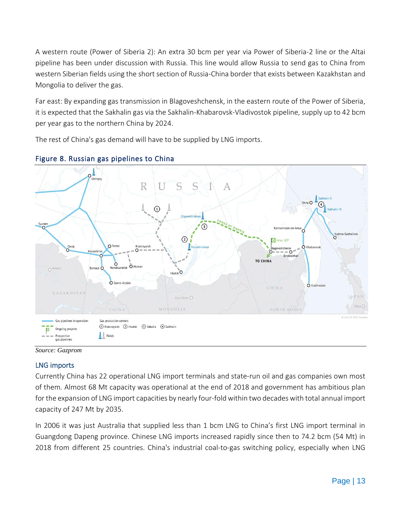A western route (Power of Siberia 2): An extra 30 bcm per year via Power of Siberia-2 line or the Altai pipeline has been under discussion with Russia. This line would allow Russia to send gas to China from western Siberian fields using the short section of Russia-China border that exists between Kazakhstan and Mongolia to deliver the gas.

Far east: By expanding gas transmission in Blagoveshchensk, in the eastern route of the Power of Siberia, it is expected that the Sakhalin gas via the Sakhalin-Khabarovsk-Vladivostok pipeline, supply up to 42 bcm per year gas to the northern China by 2024.

The rest of China's gas demand will have to be supplied by LNG imports.





*Source: Gazprom*

# LNG imports

Currently China has 22 operational LNG import terminals and state-run oil and gas companies own most of them. Almost 68 Mt capacity was operational at the end of 2018 and government has ambitious plan for the expansion of LNG import capacities by nearly four-fold within two decades with total annual import capacity of 247 Mt by 2035.

In 2006 it was just Australia that supplied less than 1 bcm LNG to China's first LNG import terminal in Guangdong Dapeng province. Chinese LNG imports increased rapidly since then to 74.2 bcm (54 Mt) in 2018 from different 25 countries. China's industrial coal-to-gas switching policy, especially when LNG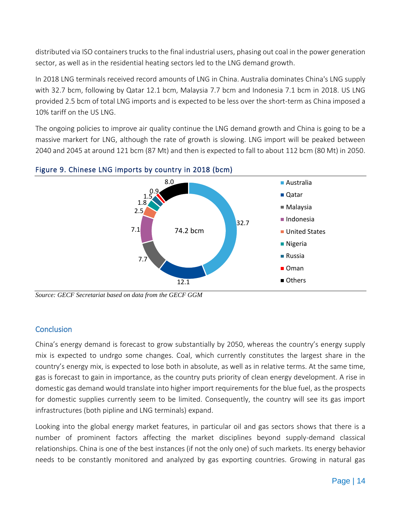distributed via ISO containers trucks to the final industrial users, phasing out coal in the power generation sector, as well as in the residential heating sectors led to the LNG demand growth.

In 2018 LNG terminals received record amounts of LNG in China. Australia dominates China's LNG supply with 32.7 bcm, following by Qatar 12.1 bcm, Malaysia 7.7 bcm and Indonesia 7.1 bcm in 2018. US LNG provided 2.5 bcm of total LNG imports and is expected to be less over the short-term as China imposed a 10% tariff on the US LNG.

The ongoing policies to improve air quality continue the LNG demand growth and China is going to be a massive markert for LNG, although the rate of growth is slowing. LNG import will be peaked between 2040 and 2045 at around 121 bcm (87 Mt) and then is expected to fall to about 112 bcm (80 Mt) in 2050.



#### Figure 9. Chinese LNG imports by country in 2018 (bcm)

*Source: GECF Secretariat based on data from the GECF GGM*

# **Conclusion**

China's energy demand is forecast to grow substantially by 2050, whereas the country's energy supply mix is expected to undrgo some changes. Coal, which currently constitutes the largest share in the country's energy mix, is expected to lose both in absolute, as well as in relative terms. At the same time, gas is forecast to gain in importance, as the country puts priority of clean energy development. A rise in domestic gas demand would translate into higher import requirements for the blue fuel, as the prospects for domestic supplies currently seem to be limited. Consequently, the country will see its gas import infrastructures (both pipline and LNG terminals) expand.

Looking into the global energy market features, in particular oil and gas sectors shows that there is a number of prominent factors affecting the market disciplines beyond supply-demand classical relationships. China is one of the best instances (if not the only one) of such markets. Its energy behavior needs to be constantly monitored and analyzed by gas exporting countries. Growing in natural gas